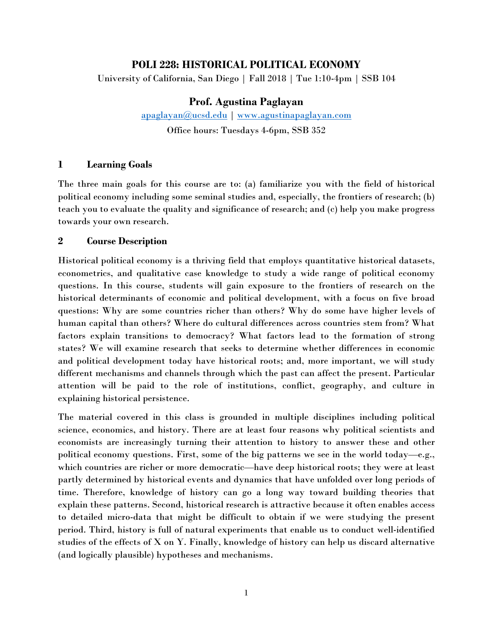## **POLI 228: HISTORICAL POLITICAL ECONOMY**

University of California, San Diego | Fall 2018 | Tue 1:10-4pm | SSB 104

## **Prof. Agustina Paglayan**

[apaglayan@ucsd.edu](mailto:apaglayan@ucsd.edu) | [www.agustinapaglayan.com](http://www.agustinapaglayan.com/) Office hours: Tuesdays 4-6pm, SSB 352

#### **1 Learning Goals**

The three main goals for this course are to: (a) familiarize you with the field of historical political economy including some seminal studies and, especially, the frontiers of research; (b) teach you to evaluate the quality and significance of research; and (c) help you make progress towards your own research.

#### **2 Course Description**

Historical political economy is a thriving field that employs quantitative historical datasets, econometrics, and qualitative case knowledge to study a wide range of political economy questions. In this course, students will gain exposure to the frontiers of research on the historical determinants of economic and political development, with a focus on five broad questions: Why are some countries richer than others? Why do some have higher levels of human capital than others? Where do cultural differences across countries stem from? What factors explain transitions to democracy? What factors lead to the formation of strong states? We will examine research that seeks to determine whether differences in economic and political development today have historical roots; and, more important, we will study different mechanisms and channels through which the past can affect the present. Particular attention will be paid to the role of institutions, conflict, geography, and culture in explaining historical persistence.

The material covered in this class is grounded in multiple disciplines including political science, economics, and history. There are at least four reasons why political scientists and economists are increasingly turning their attention to history to answer these and other political economy questions. First, some of the big patterns we see in the world today—e.g., which countries are richer or more democratic—have deep historical roots; they were at least partly determined by historical events and dynamics that have unfolded over long periods of time. Therefore, knowledge of history can go a long way toward building theories that explain these patterns. Second, historical research is attractive because it often enables access to detailed micro-data that might be difficult to obtain if we were studying the present period. Third, history is full of natural experiments that enable us to conduct well-identified studies of the effects of X on Y. Finally, knowledge of history can help us discard alternative (and logically plausible) hypotheses and mechanisms.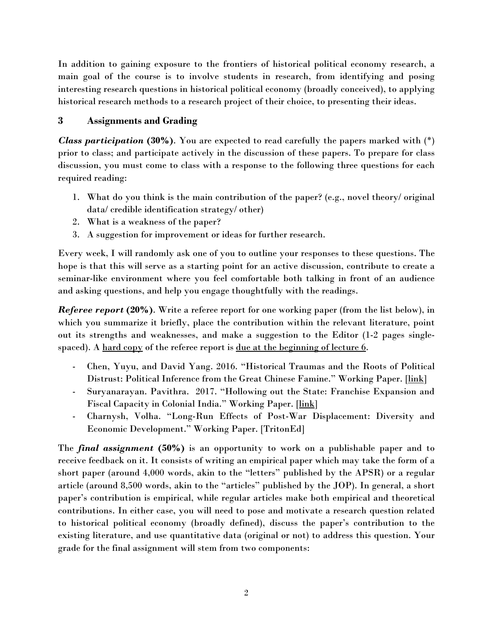In addition to gaining exposure to the frontiers of historical political economy research, a main goal of the course is to involve students in research, from identifying and posing interesting research questions in historical political economy (broadly conceived), to applying historical research methods to a research project of their choice, to presenting their ideas.

# **3 Assignments and Grading**

*Class participation* **(30%)**. You are expected to read carefully the papers marked with (\*) prior to class; and participate actively in the discussion of these papers. To prepare for class discussion, you must come to class with a response to the following three questions for each required reading:

- 1. What do you think is the main contribution of the paper? (e.g., novel theory/ original data/ credible identification strategy/ other)
- 2. What is a weakness of the paper?
- 3. A suggestion for improvement or ideas for further research.

Every week, I will randomly ask one of you to outline your responses to these questions. The hope is that this will serve as a starting point for an active discussion, contribute to create a seminar-like environment where you feel comfortable both talking in front of an audience and asking questions, and help you engage thoughtfully with the readings.

*Referee report* **(20%)**. Write a referee report for one working paper (from the list below), in which you summarize it briefly, place the contribution within the relevant literature, point out its strengths and weaknesses, and make a suggestion to the Editor (1-2 pages singlespaced). A hard copy of the referee report is <u>due at the beginning of lecture 6</u>.

- Chen, Yuyu, and David Yang. 2016. "Historical Traumas and the Roots of Political Distrust: Political Inference from the Great Chinese Famine." Working Paper. [\[link\]](https://web.stanford.edu/%7Edyang1/cgi-bin/pdfs/famine_draft.pdf)
- Suryanarayan. Pavithra. 2017. "Hollowing out the State: Franchise Expansion and Fiscal Capacity in Colonial India." Working Paper. [\[link\]](https://pavisuridotcom.files.wordpress.com/2012/08/pavisuri_capacity.pdf)
- Charnysh, Volha. "Long-Run Effects of Post-War Displacement: Diversity and Economic Development." Working Paper. [TritonEd]

The *final assignment* **(50%)** is an opportunity to work on a publishable paper and to receive feedback on it. It consists of writing an empirical paper which may take the form of a short paper (around 4,000 words, akin to the "letters" published by the APSR) or a regular article (around 8,500 words, akin to the "articles" published by the JOP). In general, a short paper's contribution is empirical, while regular articles make both empirical and theoretical contributions. In either case, you will need to pose and motivate a research question related to historical political economy (broadly defined), discuss the paper's contribution to the existing literature, and use quantitative data (original or not) to address this question. Your grade for the final assignment will stem from two components: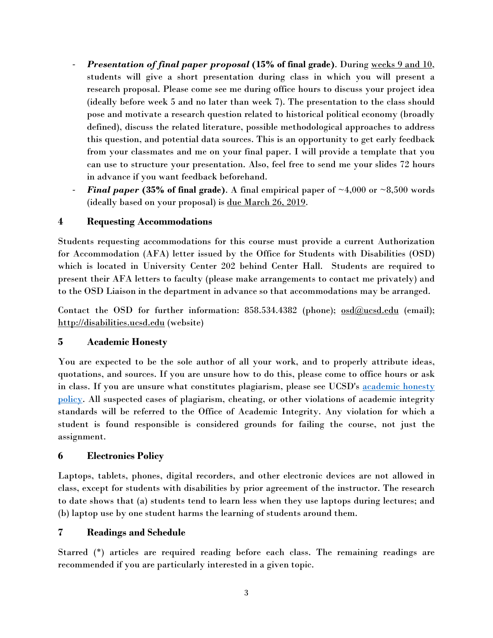- *Presentation of final paper proposal* **(15% of final grade)**. During weeks 9 and 10, students will give a short presentation during class in which you will present a research proposal. Please come see me during office hours to discuss your project idea (ideally before week 5 and no later than week 7). The presentation to the class should pose and motivate a research question related to historical political economy (broadly defined), discuss the related literature, possible methodological approaches to address this question, and potential data sources. This is an opportunity to get early feedback from your classmates and me on your final paper. I will provide a template that you can use to structure your presentation. Also, feel free to send me your slides 72 hours in advance if you want feedback beforehand.
- **Final paper (35% of final grade).** A final empirical paper of  $\sim$ 4,000 or  $\sim$ 8,500 words (ideally based on your proposal) is due March 26, 2019.

## **4 Requesting Accommodations**

Students requesting accommodations for this course must provide a current Authorization for Accommodation (AFA) letter issued by the Office for Students with Disabilities (OSD) which is located in University Center 202 behind Center Hall. Students are required to present their AFA letters to faculty (please make arrangements to contact me privately) and to the OSD Liaison in the department in advance so that accommodations may be arranged.

Contact the OSD for further information:  $858.534.4382$  (phone);  $\omega \frac{\text{sd}(\partial \text{ucsd.edu}}{\text{cend}}$  (email); [http://disabilities.ucsd.edu](http://disabilities.ucsd.edu/) (website)

## **5 Academic Honesty**

You are expected to be the sole author of all your work, and to properly attribute ideas, quotations, and sources. If you are unsure how to do this, please come to office hours or ask in class. If you are unsure what constitutes plagiarism, please see UCSD's [academic honesty](http://academicintegrity.ucsd.edu/)  [policy.](http://academicintegrity.ucsd.edu/) All suspected cases of plagiarism, cheating, or other violations of academic integrity standards will be referred to the Office of Academic Integrity. Any violation for which a student is found responsible is considered grounds for failing the course, not just the assignment.

## **6 Electronics Policy**

Laptops, tablets, phones, digital recorders, and other electronic devices are not allowed in class, except for students with disabilities by prior agreement of the instructor. The research to date shows that (a) students tend to learn less when they use laptops during lectures; and (b) laptop use by one student harms the learning of students around them.

## **7 Readings and Schedule**

Starred (\*) articles are required reading before each class. The remaining readings are recommended if you are particularly interested in a given topic.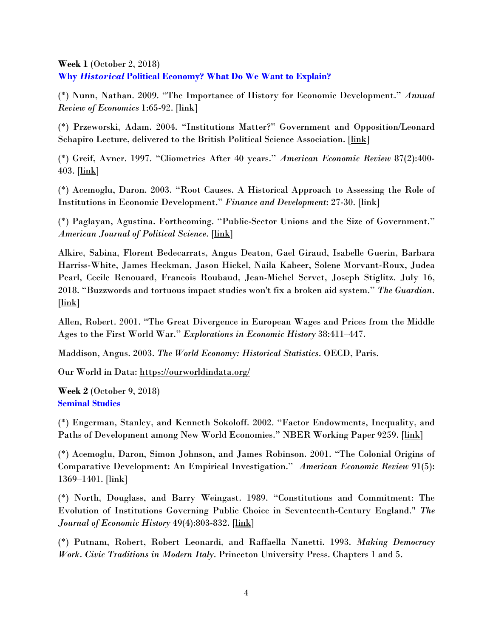**Week 1** (October 2, 2018) **Why** *Historical* **Political Economy? What Do We Want to Explain?** 

(\*) Nunn, Nathan. 2009. "The Importance of History for Economic Development." *Annual Review of Economics* 1:65-92. [\[link\]](https://scholar.harvard.edu/files/nunn/files/nunn_are_2009.pdf)

(\*) Przeworski, Adam. 2004. "Institutions Matter?" Government and Opposition/Leonard Schapiro Lecture, delivered to the British Political Science Association. [\[link\]](https://as.nyu.edu/content/dam/nyu-as/faculty/documents/go_2004.pdf)

(\*) Greif, Avner. 1997. "Cliometrics After 40 years." *American Economic Review* 87(2):400- 403.  $[\![ \underline{\text{link}} ]\!]$ 

(\*) Acemoglu, Daron. 2003. "Root Causes. A Historical Approach to Assessing the Role of Institutions in Economic Development." *Finance and Development*: 27-30. [\[link\]](http://www.imf.org/external/pubs/ft/fandd/2003/06/pdf/acemoglu.pdf)

(\*) Paglayan, Agustina. Forthcoming. "Public-Sector Unions and the Size of Government." *American Journal of Political Science*. [\[link\]](https://docs.wixstatic.com/ugd/a763a0_88184d4d09d64d65ad89b2cefbcf9913.pdf)

Alkire, Sabina, Florent Bedecarrats, Angus Deaton, Gael Giraud, Isabelle Guerin, Barbara Harriss-White, James Heckman, Jason Hickel, Naila Kabeer, Solene Morvant-Roux, Judea Pearl, Cecile Renouard, Francois Roubaud, Jean-Michel Servet, Joseph Stiglitz. July 16, 2018. "Buzzwords and tortuous impact studies won't fix a broken aid system." *The Guardian*. [\[link\]](https://amp.theguardian.com/global-development/2018/jul/16/buzzwords-crazes-broken-aid-system-poverty)

Allen, Robert. 2001. "The Great Divergence in European Wages and Prices from the Middle Ages to the First World War." *Explorations in Economic History* 38:411–447.

Maddison, Angus. 2003. *The World Economy: Historical Statistics*. OECD, Paris.

Our World in Data:<https://ourworldindata.org/>

**Week 2** (October 9, 2018) **Seminal Studies**

(\*) Engerman, Stanley, and Kenneth Sokoloff. 2002. "Factor Endowments, Inequality, and Paths of Development among New World Economies." NBER Working Paper 9259. [\[link\]](http://www.nber.org/papers/w9259.pdf)

(\*) Acemoglu, Daron, Simon Johnson, and James Robinson. 2001. "The Colonial Origins of Comparative Development: An Empirical Investigation." *American Economic Review* 91(5): 1369–1401. [\[link\]](https://pubs.aeaweb.org/doi/pdfplus/10.1257/aer.91.5.1369)

(\*) North, Douglass, and Barry Weingast. 1989. "Constitutions and Commitment: The Evolution of Institutions Governing Public Choice in Seventeenth-Century England." *The Journal of Economic History* 49(4):803-832. [\[link\]](https://www.cambridge.org/core/services/aop-cambridge-core/content/view/2E0D2B2D3490BE5C556D836ACB096362/S0022050700009451a.pdf/div-class-title-constitutions-and-commitment-the-evolution-of-institutions-governing-public-choice-in-seventeenth-century-england-div.pdf)

(\*) Putnam, Robert, Robert Leonardi, and Raffaella Nanetti. 1993. *Making Democracy Work*. *Civic Traditions in Modern Italy*. Princeton University Press. Chapters 1 and 5.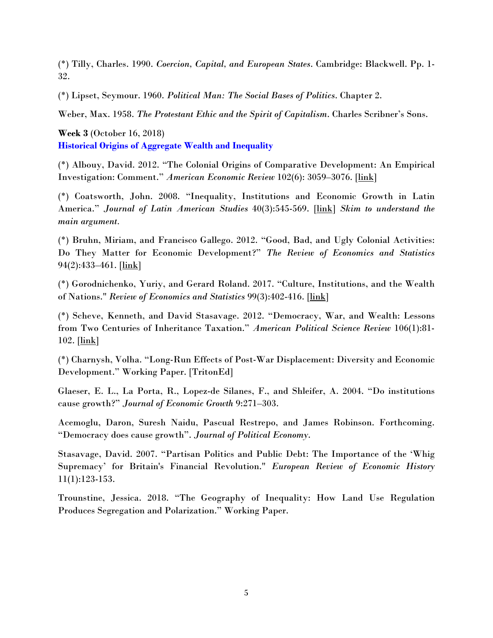(\*) Tilly, Charles. 1990. *Coercion, Capital, and European States*. Cambridge: Blackwell. Pp. 1- 32.

(\*) Lipset, Seymour. 1960. *Political Man: The Social Bases of Politics*. Chapter 2.

Weber, Max. 1958. *The Protestant Ethic and the Spirit of Capitalism*. Charles Scribner's Sons.

**Week 3** (October 16, 2018) **Historical Origins of Aggregate Wealth and Inequality**

(\*) Albouy, David. 2012. "The Colonial Origins of Comparative Development: An Empirical Investigation: Comment." *American Economic Review* 102(6): 3059–3076. [\[link\]](https://pubs.aeaweb.org/doi/pdfplus/10.1257/aer.102.6.3059)

(\*) Coatsworth, John. 2008. "Inequality, Institutions and Economic Growth in Latin America." *Journal of Latin American Studies* 40(3):545-569. [\[link\]](https://www.jstor.org/stable/pdf/40056706.pdf?refreqid=excelsior%3A36fbff4e81a322e9fe3e25e34fade818) *Skim to understand the main argument.*

(\*) Bruhn, Miriam, and Francisco Gallego. 2012. "Good, Bad, and Ugly Colonial Activities: Do They Matter for Economic Development?" *The Review of Economics and Statistics* 94(2):433–461. [\[link\]](https://www.mitpressjournals.org/doi/pdf/10.1162/REST_a_00218)

(\*) Gorodnichenko, Yuriy, and Gerard Roland. 2017. "Culture, Institutions, and the Wealth of Nations." *Review of Economics and Statistics* 99(3):402-416. [\[link\]](https://www.mitpressjournals.org/doi/pdf/10.1162/REST_a_00599)

(\*) Scheve, Kenneth, and David Stasavage. 2012. "Democracy, War, and Wealth: Lessons from Two Centuries of Inheritance Taxation." *American Political Science Review* 106(1):81- 102. [\[link\]](https://isps.yale.edu/sites/default/files/publication/2012/12/ISPS12-001.pdf)

(\*) Charnysh, Volha. "Long-Run Effects of Post-War Displacement: Diversity and Economic Development." Working Paper. [TritonEd]

Glaeser, E. L., La Porta, R., Lopez-de Silanes, F., and Shleifer, A. 2004. "Do institutions cause growth?" *Journal of Economic Growth* 9:271–303.

Acemoglu, Daron, Suresh Naidu, Pascual Restrepo, and James Robinson. Forthcoming. "Democracy does cause growth". *Journal of Political Economy*.

Stasavage, David. 2007. "Partisan Politics and Public Debt: The Importance of the 'Whig Supremacy' for Britain's Financial Revolution." *European Review of Economic History* 11(1):123-153.

Trounstine, Jessica. 2018. "The Geography of Inequality: How Land Use Regulation Produces Segregation and Polarization." Working Paper.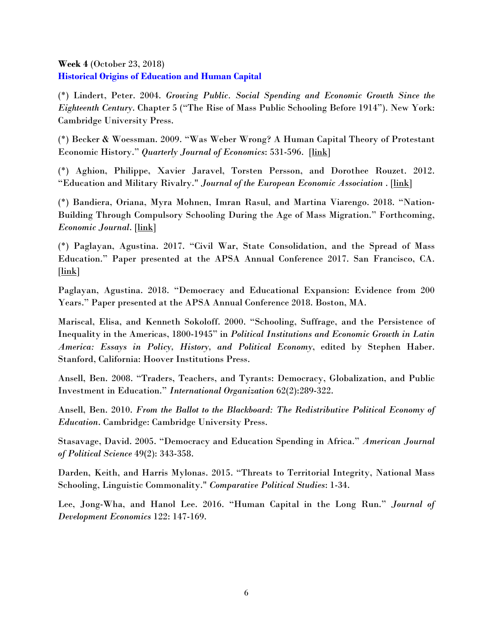#### **Week 4** (October 23, 2018) **Historical Origins of Education and Human Capital**

(\*) Lindert, Peter. 2004. *Growing Public. Social Spending and Economic Growth Since the Eighteenth Century*. Chapter 5 ("The Rise of Mass Public Schooling Before 1914"). New York: Cambridge University Press.

(\*) Becker & Woessman. 2009. "Was Weber Wrong? A Human Capital Theory of Protestant Economic History." *Quarterly Journal of Economics*: 531-596. [\[link\]](https://dspace.stir.ac.uk/bitstream/1893/1653/1/BeckerWoessmann2009QJE.pdf)

(\*) Aghion, Philippe, Xavier Jaravel, Torsten Persson, and Dorothee Rouzet. 2012. "Education and Military Rivalry." *Journal of the European Economic Association* . [\[link\]](https://watermark.silverchair.com/jvy022.pdf?token=AQECAHi208BE49Ooan9kkhW_Ercy7Dm3ZL_9Cf3qfKAc485ysgAAAdgwggHUBgkqhkiG9w0BBwagggHFMIIBwQIBADCCAboGCSqGSIb3DQEHATAeBglghkgBZQMEAS4wEQQMmX77SaiMC8SUXPZgAgEQgIIBixcvz6bQkYtR1lOADsQGOyFbon2vSEbi_Y7VJ4PHtyvv3emdY7m_9yI0j8iZAdPv-jIkbvjBgmTTdw8Zhpo_5Sql-gxnptfYx_iReea33M5ariEbwoAwZpHYtI-RR3J2beWACq-MpHasQC4LH8z2HAjcQPzJ-IpjvtLAEQE-vp3oW-oz798YZ_-BTQUijI-El8dEWuZrQhWC-oVu_vF69_ttnb9CLRA_eZZubW-yZ_cxMxADakIqOrAIYaL_8K2qtHd7z8WKxckphYQa5LPfcmVqVdyc2ZbEr_PdLkSXKTyMKrXn6YVcrXHHfv-CcESJjV3NKye8MkhnB5-BHsIFE38JVn3OGL9IdmE7b7yVfGllxWnOEZe0JElA9NrDm7aJGI-wngsRoR_YGKnuabAHsPQ1KLR9Jc80mcsFHzogm3_PlagDv9jCCaifshRrd-oqbz4Ap8DGzc-1by-zG7F9okx4k8FFtYnXSvTBU1hFCPQ1DcTqzBdg4PQgujQKi_BstXTslMSE8ZTGlJMV)

(\*) Bandiera, Oriana, Myra Mohnen, Imran Rasul, and Martina Viarengo. 2018. "Nation-Building Through Compulsory Schooling During the Age of Mass Migration." Forthcoming, *Economic Journal*. [\[link\]](http://www.ucl.ac.uk/%7Euctpimr/research/CSL.pdf)

(\*) Paglayan, Agustina. 2017. "Civil War, State Consolidation, and the Spread of Mass Education." Paper presented at the APSA Annual Conference 2017. San Francisco, CA. [\[link\]](https://docs.wixstatic.com/ugd/a763a0_98303806de7242e8b0db05431fca339e.pdf)

Paglayan, Agustina. 2018. "Democracy and Educational Expansion: Evidence from 200 Years." Paper presented at the APSA Annual Conference 2018. Boston, MA.

Mariscal, Elisa, and Kenneth Sokoloff. 2000. "Schooling, Suffrage, and the Persistence of Inequality in the Americas, 1800-1945" in *Political Institutions and Economic Growth in Latin America: Essays in Policy, History, and Political Economy*, edited by Stephen Haber. Stanford, California: Hoover Institutions Press.

Ansell, Ben. 2008. "Traders, Teachers, and Tyrants: Democracy, Globalization, and Public Investment in Education." *International Organization* 62(2):289-322.

Ansell, Ben. 2010. *From the Ballot to the Blackboard: The Redistributive Political Economy of Education*. Cambridge: Cambridge University Press.

Stasavage, David. 2005. "Democracy and Education Spending in Africa." *American Journal of Political Science* 49(2): 343-358.

Darden, Keith, and Harris Mylonas. 2015. "Threats to Territorial Integrity, National Mass Schooling, Linguistic Commonality." *Comparative Political Studies*: 1-34.

Lee, Jong-Wha, and Hanol Lee. 2016. "Human Capital in the Long Run." *Journal of Development Economics* 122: 147-169.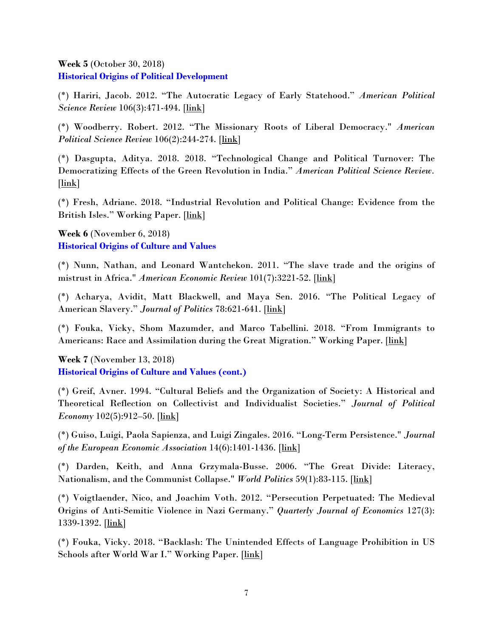#### **Week 5** (October 30, 2018) **Historical Origins of Political Development**

(\*) Hariri, Jacob. 2012. "The Autocratic Legacy of Early Statehood." *American Political Science Review* 106(3):471-494. [\[link\]](https://www.cambridge.org/core/services/aop-cambridge-core/content/view/11A9BAFB016B1D89F273DC523B394C7D/S0003055412000238a.pdf/autocratic_legacy_of_early_statehood.pdf)

(\*) Woodberry. Robert. 2012. "The Missionary Roots of Liberal Democracy." *American Political Science Review* 106(2):244-274. [\[link\]](https://www.cambridge.org/core/services/aop-cambridge-core/content/view/3D96CF5CB2F7FEB19B1835393D084B9A/S0003055412000093a.pdf/the-missionary-roots-of-liberal-democracy.pdf)

(\*) Dasgupta, Aditya. 2018. 2018. "Technological Change and Political Turnover: The Democratizing Effects of the Green Revolution in India." *American Political Science Review.* [\[link\]](https://www.dropbox.com/s/jjviizeqkk6y8h8/technological_change_and_political_turnover_the_democratizing_effects_of_the_green_revolution_in_india.pdf?dl=0)

(\*) Fresh, Adriane. 2018. "Industrial Revolution and Political Change: Evidence from the British Isles." Working Paper. [\[link\]](https://www.dropbox.com/s/043p67te3k8wmuc/Fresh_Industrialization.pdf?dl=0)

**Week 6** (November 6, 2018) **Historical Origins of Culture and Values**

(\*) Nunn, Nathan, and Leonard Wantchekon. 2011. "The slave trade and the origins of mistrust in Africa." *American Economic Review* 101(7):3221-52. [\[link\]](https://www.jstor.org/stable/pdf/41408736.pdf)

(\*) Acharya, Avidit, Matt Blackwell, and Maya Sen. 2016. "The Political Legacy of American Slavery." *Journal of Politics* 78:621-641. [\[link\]](http://stanford.edu/%7Eavidit/slaveryJOP.pdf)

(\*) Fouka, Vicky, Shom Mazumder, and Marco Tabellini. 2018. "From Immigrants to Americans: Race and Assimilation during the Great Migration." Working Paper. [\[link\]](https://people.stanford.edu/vfouka/sites/default/files/foukamazumdertabellinimay2018_0.pdf)

**Week 7** (November 13, 2018) **Historical Origins of Culture and Values (cont.)**

(\*) Greif, Avner. 1994. "Cultural Beliefs and the Organization of Society: A Historical and Theoretical Reflection on Collectivist and Individualist Societies." *Journal of Political Economy* 102(5):912–50. [\[link\]](https://www.jstor.org/stable/pdf/2138652.pdf)

(\*) Guiso, Luigi, Paola Sapienza, and Luigi Zingales. 2016. "Long-Term Persistence." *Journal of the European Economic Association* 14(6):1401-1436. [\[link\]](https://watermark.silverchair.com/jeea1401.pdf?token=AQECAHi208BE49Ooan9kkhW_Ercy7Dm3ZL_9Cf3qfKAc485ysgAAAdYwggHSBgkqhkiG9w0BBwagggHDMIIBvwIBADCCAbgGCSqGSIb3DQEHATAeBglghkgBZQMEAS4wEQQMd0gdmyx9IwBMw2ijAgEQgIIBiUD8QYSTrht9juMzg5bDq3aKVA2Q7U7dAbB1fkwBntgZg5MVf5f8OsveDXtC7j61BzexxKNhV6il8qHn5w0zDSooGAkhAmlIiQwPEaUHo6sosXj2YMCmBBgwwMUxXZIfQ2o5bzN3Jgzc1TMRT0tSRNLhgUfTmvp9VjE11o7xPKph5-VGmuRKMgusClQzkbddAwUu_bD-nyczgslwwH3f4IuCZ9K2rn5NvoFFZzcfOaO_tNV7mvbA2s77OG5vXaf-TF8QxsLZrPUN_Y3kqDLO1gyU9VKRttbIVojjyOyyG8Puuokrd7_L44bpDipMtBRCJVe1i_fl4YV0fQ5aTCrK8-Gi_FLr44AO_1Sp646ypPqKo0XG7a4ZSozkBWv-eWdVBHAupTCSEPbsTsiSrnPfNxnDFLk4ZmNVeXA-2rQvR3x7jkoMnsBoHuuTPzTw9c9sWSHI5igxPIVTANGuOG-_Lq3ugNIKo3wzvQYKG5Dp4Aw6CHoqbrvZQH_ozWeGww0q4eFi_U1yBb6gKA)

(\*) Darden, Keith, and Anna Grzymala-Busse. 2006. "The Great Divide: Literacy, Nationalism, and the Communist Collapse." *World Politics* 59(1):83-115. [\[link\]](https://www.cambridge.org/core/services/aop-cambridge-core/content/view/7D9443EFFF327B95E0E408A9EDE9A3D1/S0043887100020736a.pdf/div-class-title-the-great-divide-literacy-nationalism-and-the-communist-collapse-div.pdf)

(\*) Voigtlaender, Nico, and Joachim Voth. 2012. "Persecution Perpetuated: The Medieval Origins of Anti-Semitic Violence in Nazi Germany." *Quarterly Journal of Economics* 127(3): 1339-1392. [\[link\]](http://www.anderson.ucla.edu/faculty/nico.v/Research/Persecution_Perpetuated_QJE.pdf)

(\*) Fouka, Vicky. 2018. "Backlash: The Unintended Effects of Language Prohibition in US Schools after World War I." Working Paper. [\[link\]](https://people.stanford.edu/vfouka/sites/default/files/backlash2018_0.pdf)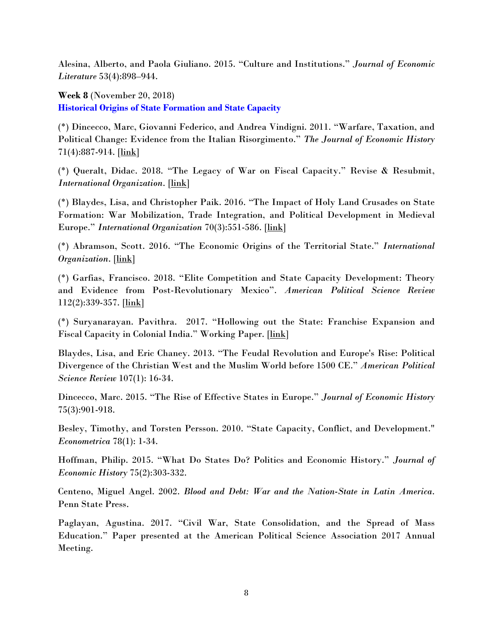Alesina, Alberto, and Paola Giuliano. 2015. "Culture and Institutions." *Journal of Economic Literature* 53(4):898–944.

**Week 8** (November 20, 2018) **Historical Origins of State Formation and State Capacity** 

(\*) Dincecco, Marc, Giovanni Federico, and Andrea Vindigni. 2011. "Warfare, Taxation, and Political Change: Evidence from the Italian Risorgimento." *The Journal of Economic History* 71(4):887-914. [\[link\]](https://umich.app.box.com/s/hrzlu52sq6nmx6mjmcihkg2q6nih2ty2)

(\*) Queralt, Didac. 2018. "The Legacy of War on Fiscal Capacity." Revise & Resubmit, *International Organization*. [\[link\]](https://docs.wixstatic.com/ugd/8b1fc6_9ba0875c95b54c35b088537ba2cdf9c3.pdf)

(\*) Blaydes, Lisa, and Christopher Paik. 2016. "The Impact of Holy Land Crusades on State Formation: War Mobilization, Trade Integration, and Political Development in Medieval Europe." *International Organization* 70(3):551-586. [\[link\]](https://www.cambridge.org/core/services/aop-cambridge-core/content/view/99CD4B614F6EFEBD99EB58F365195A01/S0020818316000096a.pdf/the-impact-of-holy-land-crusades-on-state-formation-war-mobilization-trade-integration-and-political-development-in-medieval-europe.pdf)

(\*) Abramson, Scott. 2016. "The Economic Origins of the Territorial State." *International Organization*. [\[link\]](http://nebula.wsimg.com/358e8f6c17da8115803d147684243281?AccessKeyId=2530DBBF8DA3DC4C7F79&disposition=0&alloworigin=1)

(\*) Garfias, Francisco. 2018. "Elite Competition and State Capacity Development: Theory and Evidence from Post-Revolutionary Mexico". *American Political Science Review* 112(2):339-357. [\[link\]](http://franciscogarfias.com/StateCapacity_FG.pdf)

(\*) Suryanarayan. Pavithra. 2017. "Hollowing out the State: Franchise Expansion and Fiscal Capacity in Colonial India." Working Paper. [\[link\]](https://pavisuridotcom.files.wordpress.com/2012/08/pavisuri_capacity.pdf)

Blaydes, Lisa, and Eric Chaney. 2013. "The Feudal Revolution and Europe's Rise: Political Divergence of the Christian West and the Muslim World before 1500 CE." *American Political Science Review* 107(1): 16-34.

Dincecco, Marc. 2015. "The Rise of Effective States in Europe." *Journal of Economic History* 75(3):901-918.

Besley, Timothy, and Torsten Persson. 2010. "State Capacity, Conflict, and Development." *Econometrica* 78(1): 1-34.

Hoffman, Philip. 2015. "What Do States Do? Politics and Economic History." *Journal of Economic History* 75(2):303-332.

Centeno, Miguel Angel. 2002. *Blood and Debt: War and the Nation-State in Latin America*. Penn State Press.

Paglayan, Agustina. 2017. "Civil War, State Consolidation, and the Spread of Mass Education." Paper presented at the American Political Science Association 2017 Annual Meeting.